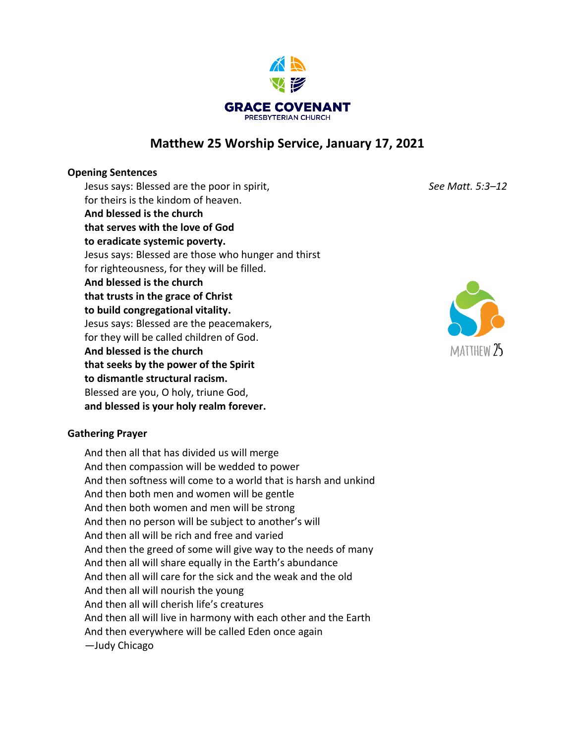

# **Matthew 25 Worship Service, January 17, 2021**

## **Opening Sentences**

Jesus says: Blessed are the poor in spirit, *See Matt. 5:3–12* for theirs is the kindom of heaven. **And blessed is the church that serves with the love of God to eradicate systemic poverty.**  Jesus says: Blessed are those who hunger and thirst for righteousness, for they will be filled. **And blessed is the church that trusts in the grace of Christ to build congregational vitality.**  Jesus says: Blessed are the peacemakers, for they will be called children of God. **And blessed is the church that seeks by the power of the Spirit to dismantle structural racism.**  Blessed are you, O holy, triune God, **and blessed is your holy realm forever.** 

## **Gathering Prayer**

And then all that has divided us will merge And then compassion will be wedded to power And then softness will come to a world that is harsh and unkind And then both men and women will be gentle And then both women and men will be strong And then no person will be subject to another's will And then all will be rich and free and varied And then the greed of some will give way to the needs of many And then all will share equally in the Earth's abundance And then all will care for the sick and the weak and the old And then all will nourish the young And then all will cherish life's creatures And then all will live in harmony with each other and the Earth And then everywhere will be called Eden once again *—*Judy Chicago

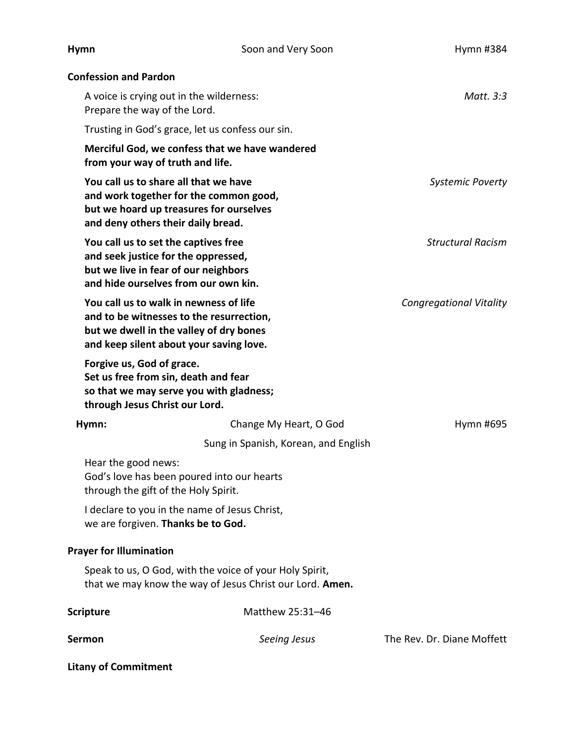| <b>Hymn</b>                                                                                                                                                              | Soon and Very Soon                                                                                                  | Hymn #384                      |
|--------------------------------------------------------------------------------------------------------------------------------------------------------------------------|---------------------------------------------------------------------------------------------------------------------|--------------------------------|
| <b>Confession and Pardon</b>                                                                                                                                             |                                                                                                                     |                                |
| A voice is crying out in the wilderness:<br>Prepare the way of the Lord.                                                                                                 |                                                                                                                     | Matt. 3:3                      |
|                                                                                                                                                                          | Trusting in God's grace, let us confess our sin.                                                                    |                                |
| from your way of truth and life.                                                                                                                                         | Merciful God, we confess that we have wandered                                                                      |                                |
| You call us to share all that we have<br>and deny others their daily bread.                                                                                              | and work together for the common good,<br>but we hoard up treasures for ourselves                                   | <b>Systemic Poverty</b>        |
| You call us to set the captives free<br>and seek justice for the oppressed,<br>but we live in fear of our neighbors<br>and hide ourselves from our own kin.              |                                                                                                                     | <b>Structural Racism</b>       |
| You call us to walk in newness of life<br>and to be witnesses to the resurrection,<br>but we dwell in the valley of dry bones<br>and keep silent about your saving love. |                                                                                                                     | <b>Congregational Vitality</b> |
| Forgive us, God of grace.<br>Set us free from sin, death and fear<br>through Jesus Christ our Lord.                                                                      | so that we may serve you with gladness;                                                                             |                                |
| Hymn:                                                                                                                                                                    | Change My Heart, O God                                                                                              | Hymn #695                      |
|                                                                                                                                                                          | Sung in Spanish, Korean, and English                                                                                |                                |
| Hear the good news:<br>through the gift of the Holy Spirit.                                                                                                              | God's love has been poured into our hearts                                                                          |                                |
| we are forgiven. Thanks be to God.                                                                                                                                       | I declare to you in the name of Jesus Christ,                                                                       |                                |
| <b>Prayer for Illumination</b>                                                                                                                                           |                                                                                                                     |                                |
|                                                                                                                                                                          | Speak to us, O God, with the voice of your Holy Spirit,<br>that we may know the way of Jesus Christ our Lord. Amen. |                                |
| <b>Scripture</b>                                                                                                                                                         | Matthew 25:31-46                                                                                                    |                                |
| <b>Sermon</b>                                                                                                                                                            | Seeing Jesus                                                                                                        | The Rev. Dr. Diane Moffett     |
| <b>Litany of Commitment</b>                                                                                                                                              |                                                                                                                     |                                |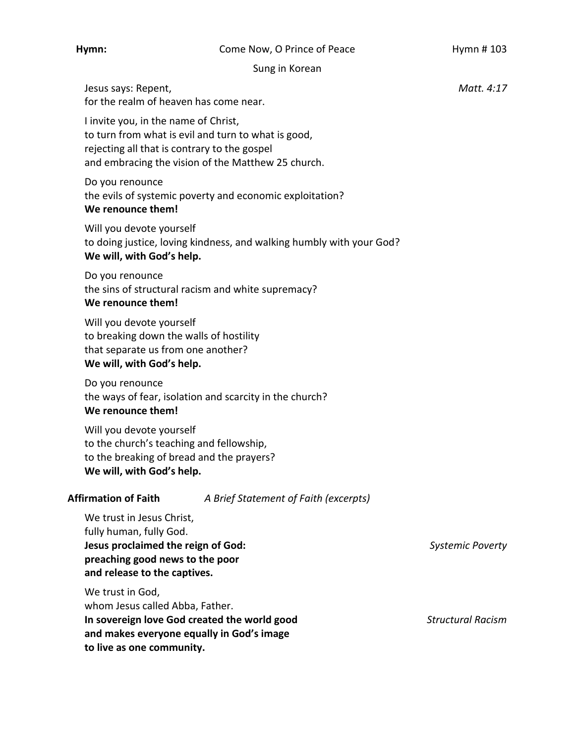### **Hymn:** Come Now, O Prince of Peace Hymn # 103

Sung in Korean

Jesus says: Repent, *Matt. 4:17*  for the realm of heaven has come near.

I invite you, in the name of Christ, to turn from what is evil and turn to what is good, rejecting all that is contrary to the gospel and embracing the vision of the Matthew 25 church.

Do you renounce the evils of systemic poverty and economic exploitation? **We renounce them!** 

Will you devote yourself to doing justice, loving kindness, and walking humbly with your God? **We will, with God's help.** 

Do you renounce the sins of structural racism and white supremacy? **We renounce them!** 

Will you devote yourself to breaking down the walls of hostility that separate us from one another? **We will, with God's help.** 

Do you renounce the ways of fear, isolation and scarcity in the church? **We renounce them!** 

Will you devote yourself to the church's teaching and fellowship, to the breaking of bread and the prayers? **We will, with God's help.** 

**Affirmation of Faith** *A Brief Statement of Faith (excerpts)* 

We trust in Jesus Christ, fully human, fully God. **Jesus proclaimed the reign of God:** *Systemic Poverty* **preaching good news to the poor and release to the captives.** 

We trust in God, whom Jesus called Abba, Father. **In sovereign love God created the world good** *Structural Racism* **and makes everyone equally in God's image to live as one community.**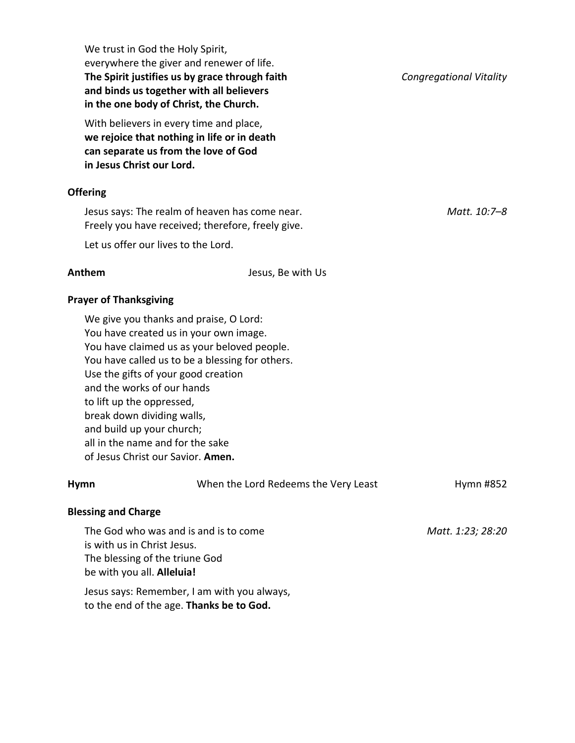| We trust in God the Holy Spirit,<br>everywhere the giver and renewer of life.<br>The Spirit justifies us by grace through faith<br>and binds us together with all believers<br>in the one body of Christ, the Church.                                                                                                                                                                                                    |                                      | <b>Congregational Vitality</b> |
|--------------------------------------------------------------------------------------------------------------------------------------------------------------------------------------------------------------------------------------------------------------------------------------------------------------------------------------------------------------------------------------------------------------------------|--------------------------------------|--------------------------------|
| With believers in every time and place,<br>we rejoice that nothing in life or in death<br>can separate us from the love of God<br>in Jesus Christ our Lord.                                                                                                                                                                                                                                                              |                                      |                                |
| <b>Offering</b>                                                                                                                                                                                                                                                                                                                                                                                                          |                                      |                                |
| Jesus says: The realm of heaven has come near.<br>Freely you have received; therefore, freely give.                                                                                                                                                                                                                                                                                                                      |                                      | Matt. 10:7-8                   |
| Let us offer our lives to the Lord.                                                                                                                                                                                                                                                                                                                                                                                      |                                      |                                |
| Anthem                                                                                                                                                                                                                                                                                                                                                                                                                   | Jesus, Be with Us                    |                                |
| <b>Prayer of Thanksgiving</b>                                                                                                                                                                                                                                                                                                                                                                                            |                                      |                                |
| We give you thanks and praise, O Lord:<br>You have created us in your own image.<br>You have claimed us as your beloved people.<br>You have called us to be a blessing for others.<br>Use the gifts of your good creation<br>and the works of our hands<br>to lift up the oppressed,<br>break down dividing walls,<br>and build up your church;<br>all in the name and for the sake<br>of Jesus Christ our Savior. Amen. |                                      |                                |
| <b>Hymn</b>                                                                                                                                                                                                                                                                                                                                                                                                              | When the Lord Redeems the Very Least | Hymn #852                      |
| <b>Blessing and Charge</b>                                                                                                                                                                                                                                                                                                                                                                                               |                                      |                                |
| The God who was and is and is to come<br>is with us in Christ Jesus.<br>The blessing of the triune God<br>be with you all. Alleluia!                                                                                                                                                                                                                                                                                     |                                      | Matt. 1:23; 28:20              |
| Jesus says: Remember, I am with you always,<br>to the end of the age. Thanks be to God.                                                                                                                                                                                                                                                                                                                                  |                                      |                                |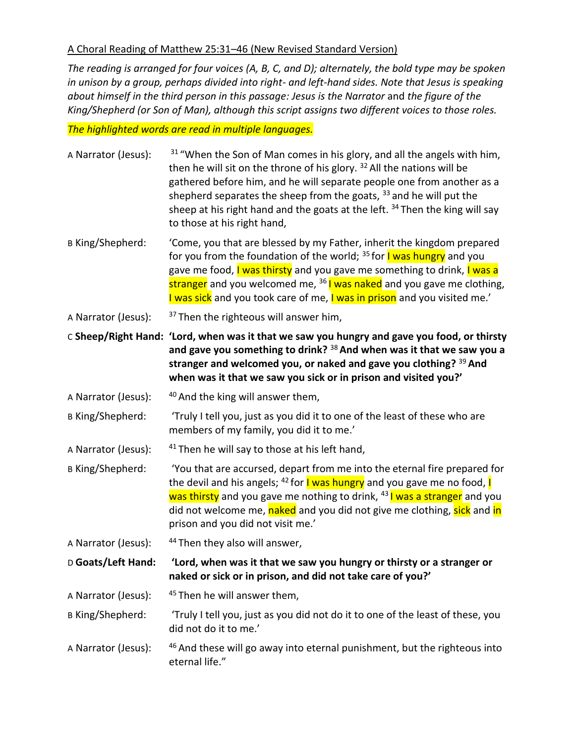## A Choral Reading of Matthew 25:31–46 (New Revised Standard Version)

*The reading is arranged for four voices (A, B, C, and D); alternately, the bold type may be spoken in unison by a group, perhaps divided into right- and left-hand sides. Note that Jesus is speaking about himself in the third person in this passage: Jesus is the Narrator* and *the figure of the King/Shepherd (or Son of Man), although this script assigns two different voices to those roles.*

*The highlighted words are read in multiple languages.* 

| A Narrator (Jesus):     | <sup>31</sup> "When the Son of Man comes in his glory, and all the angels with him,<br>then he will sit on the throne of his glory. <sup>32</sup> All the nations will be<br>gathered before him, and he will separate people one from another as a<br>shepherd separates the sheep from the goats, <sup>33</sup> and he will put the<br>sheep at his right hand and the goats at the left. <sup>34</sup> Then the king will say<br>to those at his right hand, |
|-------------------------|-----------------------------------------------------------------------------------------------------------------------------------------------------------------------------------------------------------------------------------------------------------------------------------------------------------------------------------------------------------------------------------------------------------------------------------------------------------------|
| B King/Shepherd:        | 'Come, you that are blessed by my Father, inherit the kingdom prepared<br>for you from the foundation of the world; <sup>35</sup> for <b>I was hungry</b> and you<br>gave me food, I was thirsty and you gave me something to drink, I was a<br>stranger and you welcomed me, <sup>36</sup> I was naked and you gave me clothing,<br>I was sick and you took care of me, I was in prison and you visited me.'                                                   |
| A Narrator (Jesus):     | <sup>37</sup> Then the righteous will answer him,                                                                                                                                                                                                                                                                                                                                                                                                               |
|                         | C Sheep/Right Hand: 'Lord, when was it that we saw you hungry and gave you food, or thirsty<br>and gave you something to drink? $38$ And when was it that we saw you a<br>stranger and welcomed you, or naked and gave you clothing? 39 And<br>when was it that we saw you sick or in prison and visited you?'                                                                                                                                                  |
| A Narrator (Jesus):     | <sup>40</sup> And the king will answer them,                                                                                                                                                                                                                                                                                                                                                                                                                    |
| <b>B King/Shepherd:</b> | 'Truly I tell you, just as you did it to one of the least of these who are<br>members of my family, you did it to me.'                                                                                                                                                                                                                                                                                                                                          |
| A Narrator (Jesus):     | <sup>41</sup> Then he will say to those at his left hand,                                                                                                                                                                                                                                                                                                                                                                                                       |
| B King/Shepherd:        | 'You that are accursed, depart from me into the eternal fire prepared for<br>the devil and his angels; <sup>42</sup> for <b>I was hungry</b> and you gave me no food, <b>I</b><br>was thirsty and you gave me nothing to drink, <sup>43</sup> I was a stranger and you<br>did not welcome me, naked and you did not give me clothing, sick and in<br>prison and you did not visit me.'                                                                          |
| A Narrator (Jesus):     | <sup>44</sup> Then they also will answer,                                                                                                                                                                                                                                                                                                                                                                                                                       |
| D Goats/Left Hand:      | 'Lord, when was it that we saw you hungry or thirsty or a stranger or<br>naked or sick or in prison, and did not take care of you?'                                                                                                                                                                                                                                                                                                                             |
| A Narrator (Jesus):     | <sup>45</sup> Then he will answer them,                                                                                                                                                                                                                                                                                                                                                                                                                         |
| <b>B King/Shepherd:</b> | 'Truly I tell you, just as you did not do it to one of the least of these, you<br>did not do it to me.'                                                                                                                                                                                                                                                                                                                                                         |
| A Narrator (Jesus):     | <sup>46</sup> And these will go away into eternal punishment, but the righteous into<br>eternal life."                                                                                                                                                                                                                                                                                                                                                          |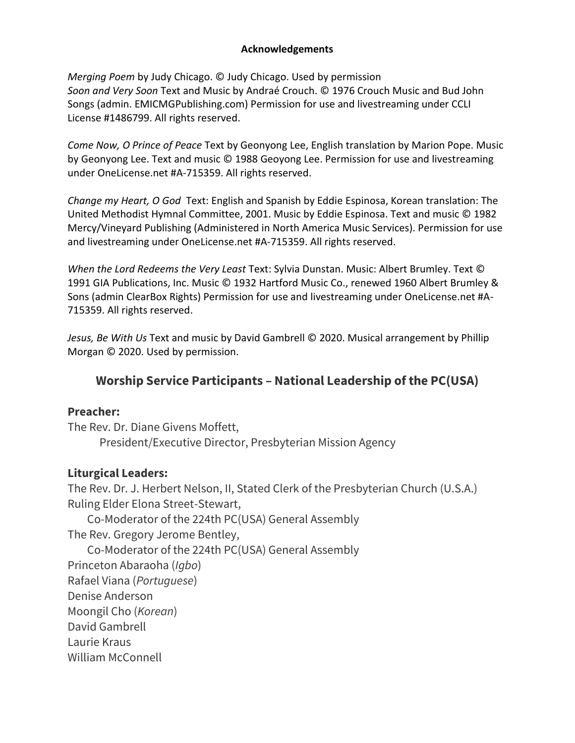## **Acknowledgements**

*Merging Poem* by Judy Chicago. © Judy Chicago. Used by permission *Soon and Very Soon* Text and Music by Andraé Crouch. © 1976 Crouch Music and Bud John Songs (admin. EMICMGPublishing.com) Permission for use and livestreaming under CCLI License #1486799. All rights reserved.

*Come Now, O Prince of Peace* Text by Geonyong Lee, English translation by Marion Pope. Music by Geonyong Lee. Text and music © 1988 Geoyong Lee. Permission for use and livestreaming under OneLicense.net #A-715359. All rights reserved.

*Change my Heart, O God* Text: English and Spanish by Eddie Espinosa, Korean translation: The United Methodist Hymnal Committee, 2001. Music by Eddie Espinosa. Text and music © 1982 Mercy/Vineyard Publishing (Administered in North America Music Services). Permission for use and livestreaming under OneLicense.net #A-715359. All rights reserved.

*When the Lord Redeems the Very Least* Text: Sylvia Dunstan. Music: Albert Brumley. Text © 1991 GIA Publications, Inc. Music © 1932 Hartford Music Co., renewed 1960 Albert Brumley & Sons (admin ClearBox Rights) Permission for use and livestreaming under OneLicense.net #A-715359. All rights reserved.

*Jesus, Be With Us* Text and music by David Gambrell © 2020. Musical arrangement by Phillip Morgan © 2020. Used by permission.

# **Worship Service Participants – National Leadership of the PC(USA)**

# **Preacher:**

The Rev. Dr. Diane Givens Moffett, President/Executive Director, Presbyterian Mission Agency

# **Liturgical Leaders:**

The Rev. Dr. J. Herbert Nelson, II, Stated Clerk of the Presbyterian Church (U.S.A.) Ruling Elder Elona Street-Stewart,

 Co-Moderator of the 224th PC(USA) General Assembly The Rev. Gregory Jerome Bentley, Co-Moderator of the 224th PC(USA) General Assembly Princeton Abaraoha (*Igbo*) Rafael Viana (*Portuguese*) Denise Anderson Moongil Cho (*Korean*) David Gambrell Laurie Kraus William McConnell